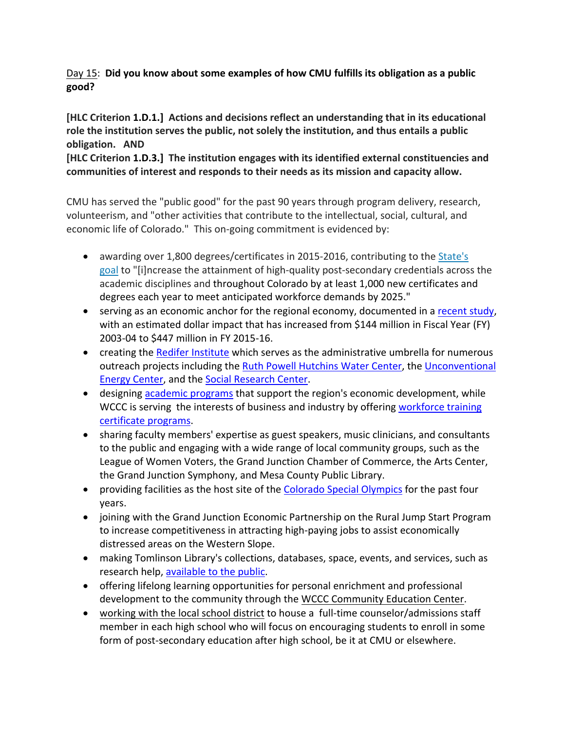## Day 15: **Did you know about some examples of how CMU fulfills its obligation as a public good?**

## **[HLC Criterion 1.D.1.] Actions and decisions reflect an understanding that in its educational role the institution serves the public, not solely the institution, and thus entails a public obligation. AND**

**[HLC Criterion 1.D.3.] The institution engages with its identified external constituencies and communities of interest and responds to their needs as its mission and capacity allow.**

CMU has served the "public good" for the past 90 years through program delivery, research, volunteerism, and "other activities that contribute to the intellectual, social, cultural, and economic life of Colorado." This on-going commitment is evidenced by:

- awarding over 1,800 degrees/certificates in 2015‐2016, contributing to the State's goal to "[i]ncrease the attainment of high-quality post-secondary credentials across the academic disciplines and throughout Colorado by at least 1,000 new certificates and degrees each year to meet anticipated workforce demands by 2025."
- serving as an economic anchor for the regional economy, documented in a recent study, with an estimated dollar impact that has increased from \$144 million in Fiscal Year (FY) 2003‐04 to \$447 million in FY 2015‐16.
- creating the Redifer Institute which serves as the administrative umbrella for numerous outreach projects including the Ruth Powell Hutchins Water Center, the Unconventional Energy Center, and the Social Research Center.
- designing academic programs that support the region's economic development, while WCCC is serving the interests of business and industry by offering workforce training certificate programs.
- sharing faculty members' expertise as guest speakers, music clinicians, and consultants to the public and engaging with a wide range of local community groups, such as the League of Women Voters, the Grand Junction Chamber of Commerce, the Arts Center, the Grand Junction Symphony, and Mesa County Public Library.
- providing facilities as the host site of the Colorado Special Olympics for the past four years.
- joining with the Grand Junction Economic Partnership on the Rural Jump Start Program to increase competitiveness in attracting high‐paying jobs to assist economically distressed areas on the Western Slope.
- making Tomlinson Library's collections, databases, space, events, and services, such as research help, available to the public.
- offering lifelong learning opportunities for personal enrichment and professional development to the community through the WCCC Community Education Center.
- working with the local school district to house a full-time counselor/admissions staff member in each high school who will focus on encouraging students to enroll in some form of post-secondary education after high school, be it at CMU or elsewhere.